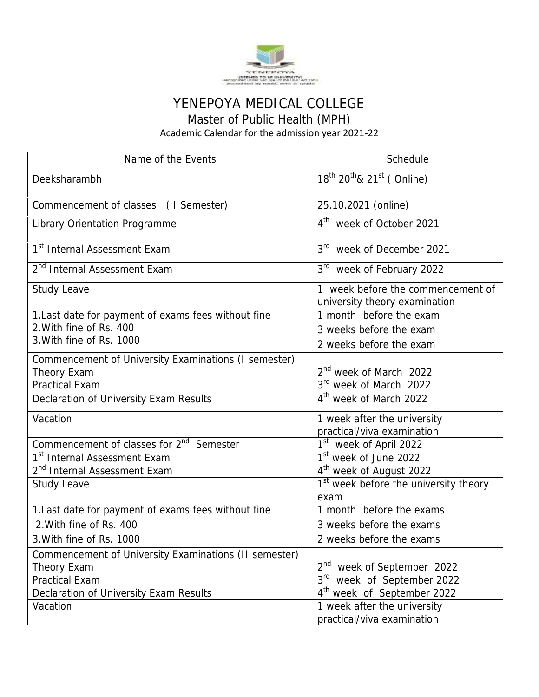

## YENEPOYA MEDICAL COLLEGE

Master of Public Health (MPH)

Academic Calendar for the admission year 2021-22

| Name of the Events                                                                            | Schedule                                                                                           |
|-----------------------------------------------------------------------------------------------|----------------------------------------------------------------------------------------------------|
| Deeksharambh                                                                                  | $18^{th}$ $20^{th}$ & $21^{st}$ (Online)                                                           |
| Commencement of classes (I Semester)                                                          | 25.10.2021 (online)                                                                                |
| <b>Library Orientation Programme</b>                                                          | 4 <sup>th</sup> week of October 2021                                                               |
| 1 <sup>st</sup> Internal Assessment Exam                                                      | 3 <sup>rd</sup><br>week of December 2021                                                           |
| 2 <sup>nd</sup> Internal Assessment Exam                                                      | 3 <sup>rd</sup><br>week of February 2022                                                           |
| <b>Study Leave</b>                                                                            | 1 week before the commencement of<br>university theory examination                                 |
| 1. Last date for payment of exams fees without fine                                           | 1 month before the exam                                                                            |
| 2. With fine of Rs. 400                                                                       | 3 weeks before the exam                                                                            |
| 3. With fine of Rs. 1000                                                                      | 2 weeks before the exam                                                                            |
| Commencement of University Examinations (I semester)<br>Theory Exam<br><b>Practical Exam</b>  | 2 <sup>nd</sup> week of March 2022<br>3rd week of March 2022<br>4 <sup>th</sup> week of March 2022 |
| Declaration of University Exam Results                                                        |                                                                                                    |
| Vacation                                                                                      | 1 week after the university<br>practical/viva examination                                          |
| Commencement of classes for 2 <sup>nd</sup> Semester                                          | 1 <sup>st</sup> week of April 2022                                                                 |
| 1 <sup>st</sup> Internal Assessment Exam                                                      | 1 <sup>st</sup> week of June 2022                                                                  |
| 2 <sup>nd</sup> Internal Assessment Exam                                                      | 4 <sup>th</sup> week of August 2022                                                                |
| <b>Study Leave</b>                                                                            | 1 <sup>st</sup> week before the university theory<br>exam                                          |
| 1. Last date for payment of exams fees without fine                                           | 1 month before the exams                                                                           |
| 2. With fine of Rs. 400                                                                       | 3 weeks before the exams                                                                           |
| 3. With fine of Rs. 1000                                                                      | 2 weeks before the exams                                                                           |
| Commencement of University Examinations (II semester)<br>Theory Exam<br><b>Practical Exam</b> | 2 <sup>nd</sup> week of September 2022<br>3 <sup>rd</sup><br>week of September 2022                |
| Declaration of University Exam Results                                                        | $4^{\text{th}}$<br>week of September 2022                                                          |
| Vacation                                                                                      | 1 week after the university<br>practical/viva examination                                          |